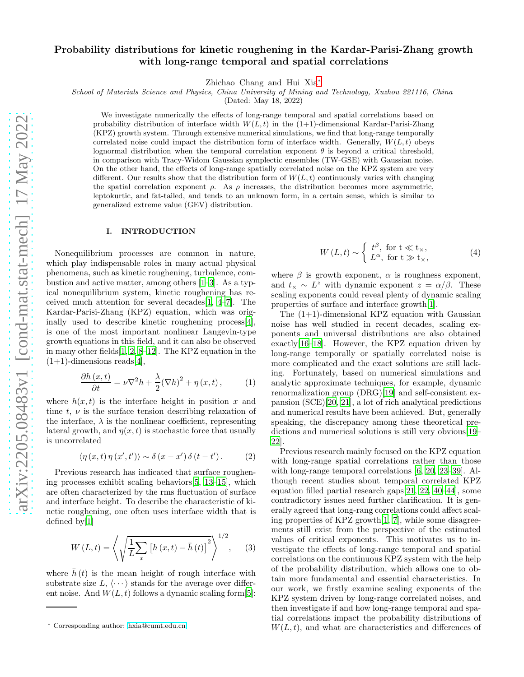# Probability distributions for kinetic roughening in the Kardar-Parisi-Zhang growth with long-range temporal and spatial correlations

Zhichao Chang and Hui Xia[∗](#page-0-0)

School of Materials Science and Physics, China University of Mining and Technology, Xuzhou 221116, China

(Dated: May 18, 2022)

We investigate numerically the effects of long-range temporal and spatial correlations based on probability distribution of interface width  $W(L, t)$  in the  $(1+1)$ -dimensional Kardar-Parisi-Zhang (KPZ) growth system. Through extensive numerical simulations, we find that long-range temporally correlated noise could impact the distribution form of interface width. Generally,  $W(L, t)$  obeys lognormal distribution when the temporal correlation exponent  $\theta$  is beyond a critical threshold, in comparison with Tracy-Widom Gaussian symplectic ensembles (TW-GSE) with Gaussian noise. On the other hand, the effects of long-range spatially correlated noise on the KPZ system are very different. Our results show that the distribution form of  $W(L, t)$  continuously varies with changing the spatial correlation exponent  $\rho$ . As  $\rho$  increases, the distribution becomes more asymmetric, leptokurtic, and fat-tailed, and tends to an unknown form, in a certain sense, which is similar to generalized extreme value (GEV) distribution.

### I. INTRODUCTION

Nonequilibrium processes are common in nature, which play indispensable roles in many actual physical phenomena, such as kinetic roughening, turbulence, combustion and active matter, among others [\[1](#page-5-0)[–3\]](#page-5-1). As a typical nonequilibrium system, kinetic roughening has received much attention for several decades[\[1](#page-5-0), [4](#page-5-2)[–7](#page-5-3)]. The Kardar-Parisi-Zhang (KPZ) equation, which was originally used to describe kinetic roughening process[\[4\]](#page-5-2), is one of the most important nonlinear Langevin-type growth equations in this field, and it can also be observed in many other fields[\[1](#page-5-0), [2,](#page-5-4) [8](#page-5-5)[–12\]](#page-5-6). The KPZ equation in the  $(1+1)$ -dimensions reads[\[4\]](#page-5-2),

$$
\frac{\partial h(x,t)}{\partial t} = \nu \nabla^2 h + \frac{\lambda}{2} (\nabla h)^2 + \eta(x,t), \quad (1)
$$

where  $h(x, t)$  is the interface height in position x and time t,  $\nu$  is the surface tension describing relaxation of the interface,  $\lambda$  is the nonlinear coefficient, representing lateral growth, and  $\eta(x, t)$  is stochastic force that usually is uncorrelated

$$
\langle \eta(x,t) \eta(x',t') \rangle \sim \delta(x-x') \delta(t-t'). \qquad (2)
$$

Previous research has indicated that surface roughening processes exhibit scaling behaviors[\[5](#page-5-7), [13](#page-5-8)[–15\]](#page-5-9), which are often characterized by the rms fluctuation of surface and interface height. To describe the characteristic of kinetic roughening, one often uses interface width that is defined by[\[1\]](#page-5-0)

$$
W(L, t) = \left\langle \sqrt{\frac{1}{L} \sum_{x} \left[ h(x, t) - \bar{h}(t) \right]^2} \right\rangle^{1/2}, \quad (3)
$$

where  $\bar{h}(t)$  is the mean height of rough interface with substrate size  $L, \langle \cdots \rangle$  stands for the average over different noise. And  $W(L, t)$  follows a dynamic scaling form [\[5\]](#page-5-7):

$$
W(L,t) \sim \begin{cases} t^{\beta}, \text{ for } t \ll t_{\times}, \\ L^{\alpha}, \text{ for } t \gg t_{\times}, \end{cases}
$$
 (4)

where  $\beta$  is growth exponent,  $\alpha$  is roughness exponent, and  $t_{\times} \sim L^z$  with dynamic exponent  $z = \alpha/\beta$ . These scaling exponents could reveal plenty of dynamic scaling properties of surface and interface growth[\[1\]](#page-5-0).

The  $(1+1)$ -dimensional KPZ equation with Gaussian noise has well studied in recent decades, scaling exponents and universal distributions are also obtained exactly[\[16](#page-5-10)[–18\]](#page-5-11). However, the KPZ equation driven by long-range temporally or spatially correlated noise is more complicated and the exact solutions are still lacking. Fortunately, based on numerical simulations and analytic approximate techniques, for example, dynamic renormalization group (DRG)[\[19\]](#page-5-12) and self-consistent expansion (SCE)[\[20](#page-5-13), [21\]](#page-5-14), a lot of rich analytical predictions and numerical results have been achieved. But, generally speaking, the discrepancy among these theoretical predictions and numerical solutions is still very obvious[\[19](#page-5-12)– [22](#page-5-15)].

Previous research mainly focused on the KPZ equation with long-range spatial correlations rather than those with long-range temporal correlations [\[6,](#page-5-16) [20,](#page-5-13) [23](#page-5-17)[–39\]](#page-5-18). Although recent studies about temporal correlated KPZ equation filled partial research gaps[\[21,](#page-5-14) [22,](#page-5-15) [40](#page-5-19)[–44\]](#page-5-20), some contradictory issues need further clarification. It is generally agreed that long-rang correlations could affect scaling properties of KPZ growth[\[1](#page-5-0), [7](#page-5-3)], while some disagreements still exist from the perspective of the estimated values of critical exponents. This motivates us to investigate the effects of long-range temporal and spatial correlations on the continuous KPZ system with the help of the probability distribution, which allows one to obtain more fundamental and essential characteristics. In our work, we firstly examine scaling exponents of the KPZ system driven by long-range correlated noises, and then investigate if and how long-range temporal and spatial correlations impact the probability distributions of  $W(L, t)$ , and what are characteristics and differences of

<span id="page-0-0"></span><sup>∗</sup> Corresponding author: [hxia@cumt.edu.cn](mailto:hxia@cumt.edu.cn)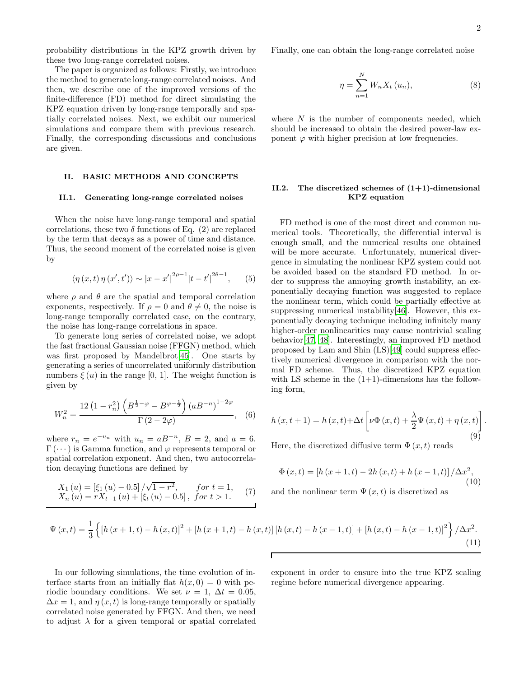probability distributions in the KPZ growth driven by these two long-range correlated noises.

The paper is organized as follows: Firstly, we introduce the method to generate long-range correlated noises. And then, we describe one of the improved versions of the finite-difference (FD) method for direct simulating the KPZ equation driven by long-range temporally and spatially correlated noises. Next, we exhibit our numerical simulations and compare them with previous research. Finally, the corresponding discussions and conclusions are given.

### II. BASIC METHODS AND CONCEPTS

#### II.1. Generating long-range correlated noises

When the noise have long-range temporal and spatial correlations, these two  $\delta$  functions of Eq. (2) are replaced by the term that decays as a power of time and distance. Thus, the second moment of the correlated noise is given by

$$
\langle \eta(x, t) \eta(x', t') \rangle \sim |x - x'|^{2\rho - 1} |t - t'|^{2\theta - 1},
$$
 (5)

where  $\rho$  and  $\theta$  are the spatial and temporal correlation exponents, respectively. If  $\rho = 0$  and  $\theta \neq 0$ , the noise is long-range temporally correlated case, on the contrary, the noise has long-range correlations in space.

To generate long series of correlated noise, we adopt the fast fractional Gaussian noise (FFGN) method, which was first proposed by Mandelbrot[\[45\]](#page-5-21). One starts by generating a series of uncorrelated uniformly distribution numbers  $\xi(u)$  in the range [0, 1]. The weight function is given by

$$
W_n^2 = \frac{12\left(1 - r_n^2\right)\left(B^{\frac{1}{2} - \varphi} - B^{\varphi - \frac{1}{2}}\right)\left(aB^{-n}\right)^{1 - 2\varphi}}{\Gamma\left(2 - 2\varphi\right)},\quad(6)
$$

where  $r_n = e^{-u_n}$  with  $u_n = aB^{-n}$ ,  $B = 2$ , and  $a = 6$ .  $\Gamma(\dots)$  is Gamma function, and  $\varphi$  represents temporal or spatial correlation exponent. And then, two autocorrelation decaying functions are defined by

$$
X_1(u) = \left[\xi_1(u) - 0.5\right] / \sqrt{1 - r^2}, \quad \text{for } t = 1, X_n(u) = rX_{t-1}(u) + \left[\xi_t(u) - 0.5\right], \text{ for } t > 1.
$$
 (7)

Finally, one can obtain the long-range correlated noise

$$
\eta = \sum_{n=1}^{N} W_n X_t \left( u_n \right),\tag{8}
$$

where  $N$  is the number of components needed, which should be increased to obtain the desired power-law exponent  $\varphi$  with higher precision at low frequencies.

# II.2. The discretized schemes of  $(1+1)$ -dimensional KPZ equation

FD method is one of the most direct and common numerical tools. Theoretically, the differential interval is enough small, and the numerical results one obtained will be more accurate. Unfortunately, numerical divergence in simulating the nonlinear KPZ system could not be avoided based on the standard FD method. In order to suppress the annoying growth instability, an exponentially decaying function was suggested to replace the nonlinear term, which could be partially effective at suppressing numerical instability[\[46\]](#page-5-22). However, this exponentially decaying technique including infinitely many higher-order nonlinearities may cause nontrivial scaling behavior[\[47](#page-5-23), [48\]](#page-5-24). Interestingly, an improved FD method proposed by Lam and Shin (LS)[\[49](#page-5-25)] could suppress effectively numerical divergence in comparison with the normal FD scheme. Thus, the discretized KPZ equation with LS scheme in the  $(1+1)$ -dimensions has the following form,

$$
h(x,t+1) = h(x,t) + \Delta t \left[ \nu \Phi(x,t) + \frac{\lambda}{2} \Psi(x,t) + \eta(x,t) \right].
$$
  
(9)

Here, the discretized diffusive term  $\Phi(x, t)$  reads

$$
\Phi(x,t) = [h(x+1,t) - 2h(x,t) + h(x-1,t)] / \Delta x^{2},
$$
\n(10)

and the nonlinear term  $\Psi(x, t)$  is discretized as

$$
\Psi(x,t) = \frac{1}{3} \left\{ \left[ h\left(x+1,t\right) - h\left(x,t\right) \right]^2 + \left[ h\left(x+1,t\right) - h\left(x,t\right) \right] \left[ h\left(x,t\right) - h\left(x-1,t\right) \right] + \left[ h\left(x,t\right) - h\left(x-1,t\right) \right]^2 \right\} / \Delta x^2. \tag{11}
$$

In our following simulations, the time evolution of interface starts from an initially flat  $h(x, 0) = 0$  with periodic boundary conditions. We set  $\nu = 1$ ,  $\Delta t = 0.05$ ,  $\Delta x = 1$ , and  $\eta(x, t)$  is long-range temporally or spatially correlated noise generated by FFGN. And then, we need to adjust  $\lambda$  for a given temporal or spatial correlated exponent in order to ensure into the true KPZ scaling regime before numerical divergence appearing.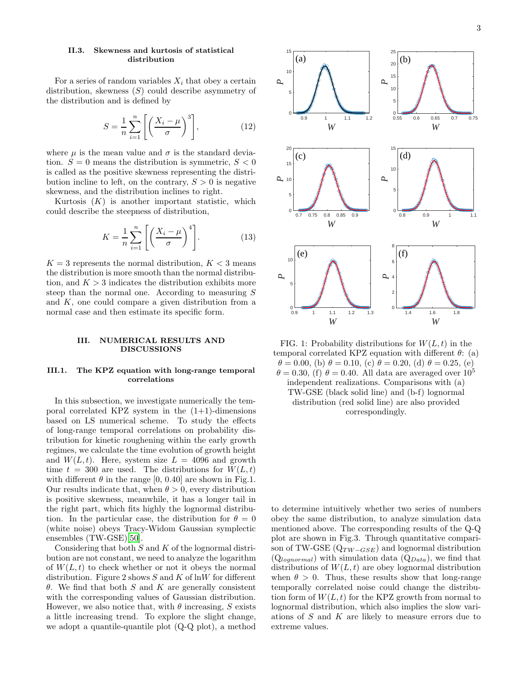For a series of random variables  $X_i$  that obey a certain distribution, skewness  $(S)$  could describe asymmetry of the distribution and is defined by

$$
S = \frac{1}{n} \sum_{i=1}^{n} \left[ \left( \frac{X_i - \mu}{\sigma} \right)^3 \right],\tag{12}
$$

where  $\mu$  is the mean value and  $\sigma$  is the standard deviation.  $S = 0$  means the distribution is symmetric,  $S < 0$ is called as the positive skewness representing the distribution incline to left, on the contrary,  $S > 0$  is negative skewness, and the distribution inclines to right.

Kurtosis  $(K)$  is another important statistic, which could describe the steepness of distribution,

$$
K = \frac{1}{n} \sum_{i=1}^{n} \left[ \left( \frac{X_i - \mu}{\sigma} \right)^4 \right].
$$
 (13)

 $K = 3$  represents the normal distribution,  $K < 3$  means the distribution is more smooth than the normal distribution, and  $K > 3$  indicates the distribution exhibits more steep than the normal one. According to measuring S and  $K$ , one could compare a given distribution from a normal case and then estimate its specific form.

### III. NUMERICAL RESULTS AND DISCUSSIONS

## III.1. The KPZ equation with long-range temporal correlations

In this subsection, we investigate numerically the temporal correlated KPZ system in the  $(1+1)$ -dimensions based on LS numerical scheme. To study the effects of long-range temporal correlations on probability distribution for kinetic roughening within the early growth regimes, we calculate the time evolution of growth height and  $W(L, t)$ . Here, system size  $L = 4096$  and growth time  $t = 300$  are used. The distributions for  $W(L, t)$ with different  $\theta$  in the range [0, 0.40] are shown in Fig.1. Our results indicate that, when  $\theta > 0$ , every distribution is positive skewness, meanwhile, it has a longer tail in the right part, which fits highly the lognormal distribution. In the particular case, the distribution for  $\theta = 0$ (white noise) obeys Tracy-Widom Gaussian symplectic ensembles (TW-GSE)[\[50\]](#page-5-26).

Considering that both  $S$  and  $K$  of the lognormal distribution are not constant, we need to analyze the logarithm of  $W(L, t)$  to check whether or not it obeys the normal distribution. Figure 2 shows  $S$  and  $K$  of lnW for different θ. We find that both S and K are generally consistent with the corresponding values of Gaussian distribution. However, we also notice that, with  $\theta$  increasing, S exists a little increasing trend. To explore the slight change, we adopt a quantile-quantile plot (Q-Q plot), a method





to determine intuitively whether two series of numbers obey the same distribution, to analyze simulation data mentioned above. The corresponding results of the Q-Q plot are shown in Fig.3. Through quantitative comparison of TW-GSE  $(Q_{TW-GSE})$  and lognormal distribution  $(Q_{lognormal})$  with simulation data  $(Q_{Data})$ , we find that distributions of  $W(L, t)$  are obey lognormal distribution when  $\theta > 0$ . Thus, these results show that long-range temporally correlated noise could change the distribution form of  $W(L, t)$  for the KPZ growth from normal to lognormal distribution, which also implies the slow variations of  $S$  and  $K$  are likely to measure errors due to extreme values.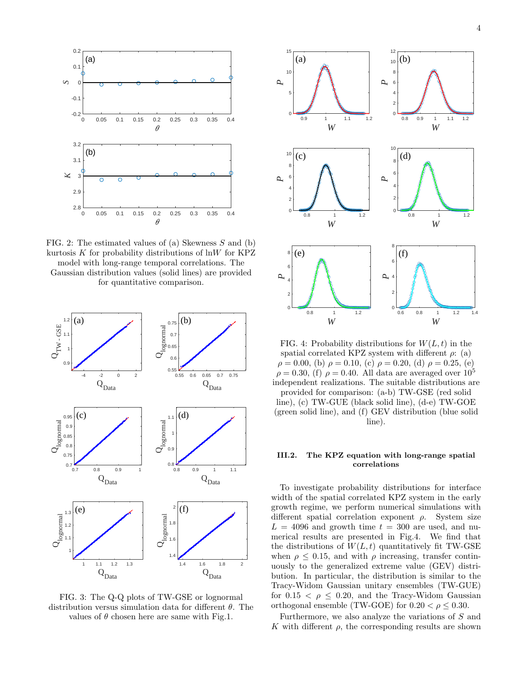

FIG. 2: The estimated values of (a) Skewness S and (b) kurtosis  $K$  for probability distributions of  $ln W$  for KPZ model with long-range temporal correlations. The

Gaussian distribution values (solid lines) are provided for quantitative comparison.



FIG. 3: The Q-Q plots of TW-GSE or lognormal distribution versus simulation data for different  $\theta$ . The values of  $\theta$  chosen here are same with Fig.1.



FIG. 4: Probability distributions for  $W(L, t)$  in the spatial correlated KPZ system with different  $\rho$ : (a)  $\rho = 0.00,$  (b)  $\rho = 0.10,$  (c)  $\rho = 0.20,$  (d)  $\rho = 0.25,$  (e)  $\rho = 0.30$ , (f)  $\rho = 0.40$ . All data are averaged over  $10^5$ independent realizations. The suitable distributions are provided for comparison: (a-b) TW-GSE (red solid line), (c) TW-GUE (black solid line), (d-e) TW-GOE (green solid line), and (f) GEV distribution (blue solid line).

### III.2. The KPZ equation with long-range spatial correlations

To investigate probability distributions for interface width of the spatial correlated KPZ system in the early growth regime, we perform numerical simulations with different spatial correlation exponent  $\rho$ . System size  $L = 4096$  and growth time  $t = 300$  are used, and numerical results are presented in Fig.4. We find that the distributions of  $W(L, t)$  quantitatively fit TW-GSE when  $\rho \leq 0.15$ , and with  $\rho$  increasing, transfer continuously to the generalized extreme value (GEV) distribution. In particular, the distribution is similar to the Tracy-Widom Gaussian unitary ensembles (TW-GUE) for  $0.15 < \rho \leq 0.20$ , and the Tracy-Widom Gaussian orthogonal ensemble (TW-GOE) for  $0.20 < \rho \leq 0.30$ .

Furthermore, we also analyze the variations of S and K with different  $\rho$ , the corresponding results are shown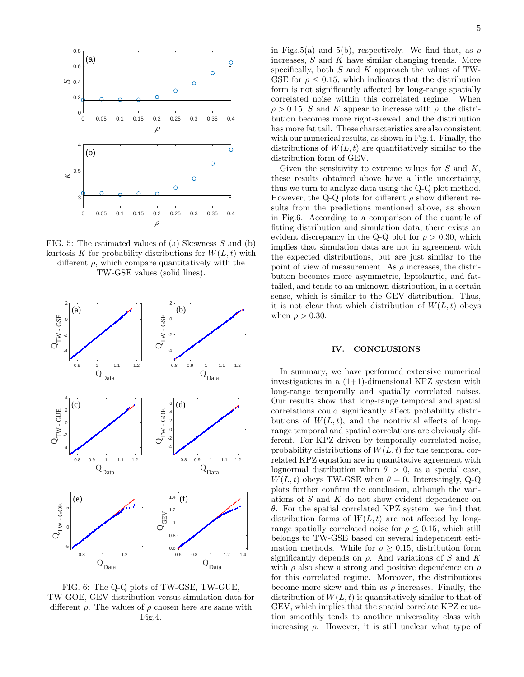

FIG. 5: The estimated values of (a) Skewness  $S$  and (b) kurtosis K for probability distributions for  $W(L, t)$  with different  $\rho$ , which compare quantitatively with the TW-GSE values (solid lines).



FIG. 6: The Q-Q plots of TW-GSE, TW-GUE, TW-GOE, GEV distribution versus simulation data for different  $\rho$ . The values of  $\rho$  chosen here are same with Fig.4.

in Figs.5(a) and 5(b), respectively. We find that, as  $\rho$ increases,  $S$  and  $K$  have similar changing trends. More specifically, both  $S$  and  $K$  approach the values of TW-GSE for  $\rho \leq 0.15$ , which indicates that the distribution form is not significantly affected by long-range spatially correlated noise within this correlated regime. When  $\rho > 0.15$ , S and K appear to increase with  $\rho$ , the distribution becomes more right-skewed, and the distribution has more fat tail. These characteristics are also consistent with our numerical results, as shown in Fig.4. Finally, the distributions of  $W(L, t)$  are quantitatively similar to the distribution form of GEV.

Given the sensitivity to extreme values for  $S$  and  $K$ , these results obtained above have a little uncertainty, thus we turn to analyze data using the Q-Q plot method. However, the Q-Q plots for different  $\rho$  show different results from the predictions mentioned above, as shown in Fig.6. According to a comparison of the quantile of fitting distribution and simulation data, there exists an evident discrepancy in the Q-Q plot for  $\rho > 0.30$ , which implies that simulation data are not in agreement with the expected distributions, but are just similar to the point of view of measurement. As  $\rho$  increases, the distribution becomes more asymmetric, leptokurtic, and fattailed, and tends to an unknown distribution, in a certain sense, which is similar to the GEV distribution. Thus, it is not clear that which distribution of  $W(L, t)$  obeys when  $\rho > 0.30$ .

### IV. CONCLUSIONS

In summary, we have performed extensive numerical investigations in a  $(1+1)$ -dimensional KPZ system with long-range temporally and spatially correlated noises. Our results show that long-range temporal and spatial correlations could significantly affect probability distributions of  $W(L, t)$ , and the nontrivial effects of longrange temporal and spatial correlations are obviously different. For KPZ driven by temporally correlated noise, probability distributions of  $W(L, t)$  for the temporal correlated KPZ equation are in quantitative agreement with lognormal distribution when  $\theta > 0$ , as a special case,  $W(L, t)$  obeys TW-GSE when  $\theta = 0$ . Interestingly, Q-Q plots further confirm the conclusion, although the variations of S and K do not show evident dependence on θ. For the spatial correlated KPZ system, we find that distribution forms of  $W(L, t)$  are not affected by longrange spatially correlated noise for  $\rho \leq 0.15$ , which still belongs to TW-GSE based on several independent estimation methods. While for  $\rho > 0.15$ , distribution form significantly depends on  $\rho$ . And variations of S and K with  $\rho$  also show a strong and positive dependence on  $\rho$ for this correlated regime. Moreover, the distributions become more skew and thin as  $\rho$  increases. Finally, the distribution of  $W(L, t)$  is quantitatively similar to that of GEV, which implies that the spatial correlate KPZ equation smoothly tends to another universality class with increasing  $\rho$ . However, it is still unclear what type of